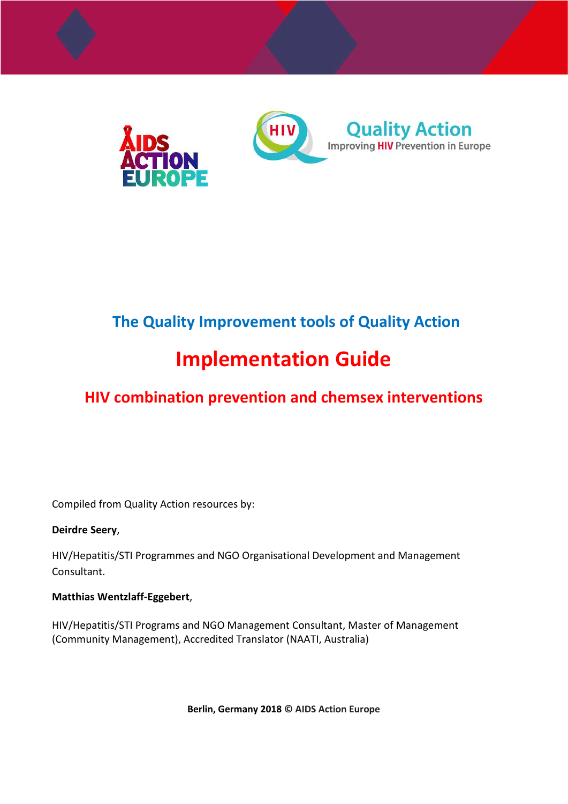

## **The Quality Improvement tools of Quality Action**

# **Implementation Guide**

## **HIV combination prevention and chemsex interventions**

Compiled from Quality Action resources by:

#### **Deirdre Seery**,

HIV/Hepatitis/STI Programmes and NGO Organisational Development and Management Consultant.

#### **Matthias Wentzlaff-Eggebert**,

HIV/Hepatitis/STI Programs and NGO Management Consultant, Master of Management (Community Management), Accredited Translator (NAATI, Australia)

**Berlin, Germany 2018 © AIDS Action Europe**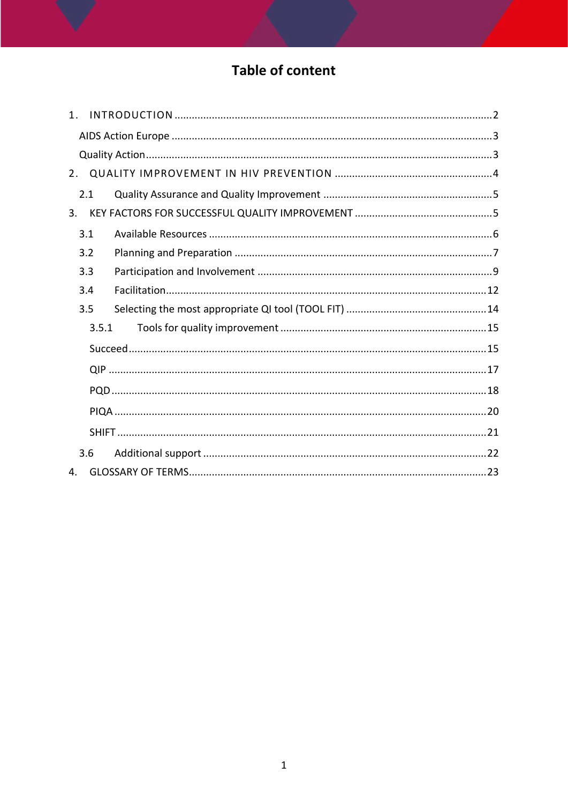## **Table of content**

| $1_{-}$ |       |  |
|---------|-------|--|
|         |       |  |
|         |       |  |
| 2.      |       |  |
|         | 2.1   |  |
| 3.      |       |  |
|         | 3.1   |  |
|         | 3.2   |  |
|         | 3.3   |  |
|         | 3.4   |  |
|         | 3.5   |  |
|         | 3.5.1 |  |
|         |       |  |
|         |       |  |
|         |       |  |
|         |       |  |
|         |       |  |
|         | 3.6   |  |
| 4.      |       |  |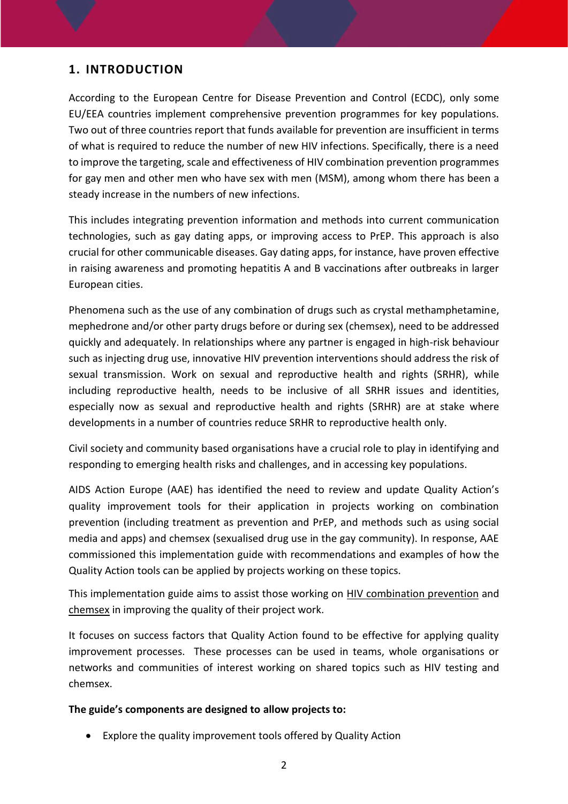## <span id="page-2-0"></span>**1. INTRODUCTION**

According to the European Centre for Disease Prevention and Control (ECDC), only some EU/EEA countries implement comprehensive prevention programmes for key populations. Two out of three countries report that funds available for prevention are insufficient in terms of what is required to reduce the number of new HIV infections. Specifically, there is a need to improve the targeting, scale and effectiveness of HIV combination prevention programmes for gay men and other men who have sex with men (MSM), among whom there has been a steady increase in the numbers of new infections.

This includes integrating prevention information and methods into current communication technologies, such as gay dating apps, or improving access to PrEP. This approach is also crucial for other communicable diseases. Gay dating apps, for instance, have proven effective in raising awareness and promoting hepatitis A and B vaccinations after outbreaks in larger European cities.

Phenomena such as the use of any combination of drugs such as crystal methamphetamine, mephedrone and/or other party drugs before or during sex (chemsex), need to be addressed quickly and adequately. In relationships where any partner is engaged in high-risk behaviour such as injecting drug use, innovative HIV prevention interventions should address the risk of sexual transmission. Work on sexual and reproductive health and rights (SRHR), while including reproductive health, needs to be inclusive of all SRHR issues and identities, especially now as sexual and reproductive health and rights (SRHR) are at stake where developments in a number of countries reduce SRHR to reproductive health only.

Civil society and community based organisations have a crucial role to play in identifying and responding to emerging health risks and challenges, and in accessing key populations.

AIDS Action Europe (AAE) has identified the need to review and update Quality Action's quality improvement tools for their application in projects working on combination prevention (including treatment as prevention and PrEP, and methods such as using social media and apps) and chemsex (sexualised drug use in the gay community). In response, AAE commissioned this implementation guide with recommendations and examples of how the Quality Action tools can be applied by projects working on these topics.

This implementation guide aims to assist those working on HIV combination prevention and chemsex in improving the quality of their project work.

It focuses on success factors that Quality Action found to be effective for applying quality improvement processes. These processes can be used in teams, whole organisations or networks and communities of interest working on shared topics such as HIV testing and chemsex.

#### **The guide's components are designed to allow projects to:**

Explore the quality improvement tools offered by Quality Action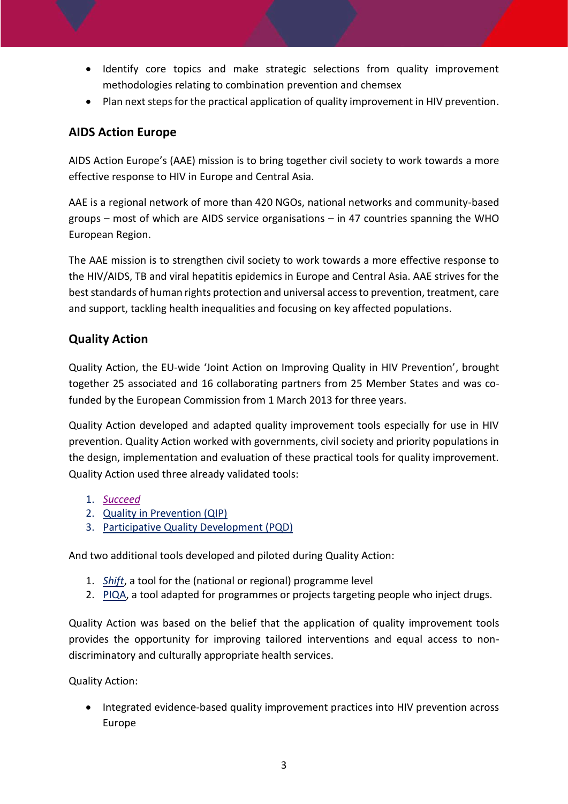- Identify core topics and make strategic selections from quality improvement methodologies relating to combination prevention and chemsex
- Plan next steps for the practical application of quality improvement in HIV prevention.

## <span id="page-3-0"></span>**AIDS Action Europe**

AIDS Action Europe's (AAE) mission is to bring together civil society to work towards a more effective response to HIV in Europe and Central Asia.

AAE is a regional network of [more than 420](http://www.aidsactioneurope.org/en/map/members) NGOs, national networks and community-based groups – most of which are AIDS service organisations – in 47 countries spanning the WHO European Region.

The AAE mission is to strengthen civil society to work towards a more effective response to the HIV/AIDS, TB and viral hepatitis epidemics in Europe and Central Asia. AAE strives for the best standards of human rights protection and universal access to prevention, treatment, care and support, tackling health inequalities and focusing on key affected populations.

## <span id="page-3-1"></span>**Quality Action**

Quality Action, the EU-wide 'Joint Action on Improving Quality in HIV Prevention', brought together 25 associated and 16 collaborating partners from 25 Member States and was cofunded by the European Commission from 1 March 2013 for three years.

Quality Action developed and adapted quality improvement tools especially for use in HIV prevention. Quality Action worked with governments, civil society and priority populations in the design, implementation and evaluation of these practical tools for quality improvement. Quality Action used three already validated tools:

- 1. *[Succeed](#page-15-1)*
- 2. [Quality in Prevention \(QIP\)](#page-17-0)
- 3. [Participative Quality Development \(PQD\)](#page-18-0)

And two additional tools developed and piloted during Quality Action:

- 1. *[Shift](#page-21-0)*, a tool for the (national or regional) programme level
- 2. [PIQA,](#page-21-0) a tool adapted for programmes or projects targeting people who inject drugs.

Quality Action was based on the belief that the application of quality improvement tools provides the opportunity for improving tailored interventions and equal access to nondiscriminatory and culturally appropriate health services.

Quality Action:

 Integrated evidence-based quality improvement practices into HIV prevention across Europe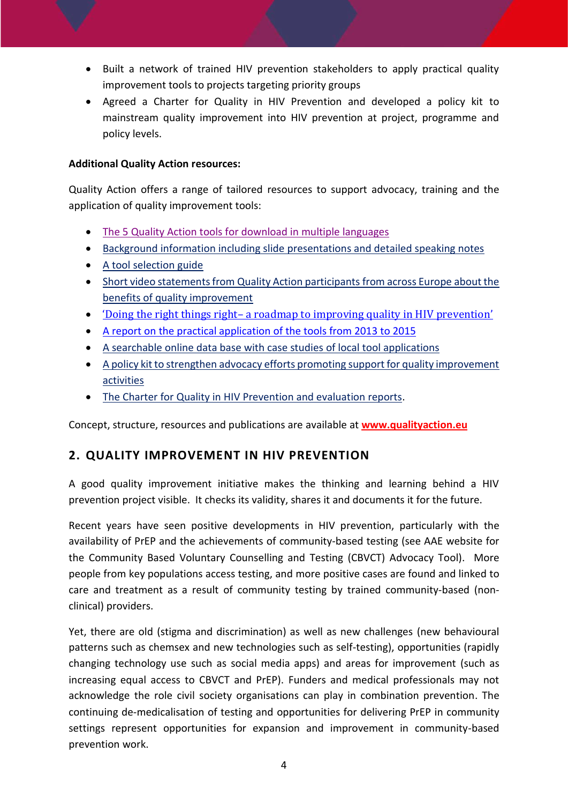- Built a network of trained HIV prevention stakeholders to apply practical quality improvement tools to projects targeting priority groups
- Agreed a Charter for Quality in HIV Prevention and developed a policy kit to mainstream quality improvement into HIV prevention at project, programme and policy levels.

#### **Additional Quality Action resources:**

Quality Action offers a range of tailored resources to support advocacy, training and the application of quality improvement tools:

- [The 5 Quality Action tools for download in multiple languages](https://www.qualityaction.eu/tools.php)
- [Background information including slide presentations and detailed speaking notes](https://www.qualityaction.eu/getstarted.php)
- [A tool selection guide](https://www.qualityaction.eu/choosetool.php)
- [Short video statements from](https://www.qualityaction.eu/national.php) Quality Action participants from across Europe about the [benefits of quality improvement](https://www.qualityaction.eu/national.php)
- 'Doing the right things right– a roadmap to im[proving quality in HIV prevention'](https://www.qualityaction.eu/images/core_package.pdf)
- A [report on the practical application](https://webgate.ec.europa.eu/chafea_pdb/assets/files/pdb/20122102/20122102_d07-00_oth-n_en_ps.pdf) of the tools from 2013 to 2015
- [A searchable online data base with case studies of local tool applications](https://www.qualityaction.eu/casestudies.php)
- A policy kit to strengthen advocacy efforts promoting [support for quality improvement](https://www.qualityaction.eu/images/qact_policykit_03.pdf)  [activities](https://www.qualityaction.eu/images/qact_policykit_03.pdf)
- [The Charter for Quality in HIV Prevention and evaluation reports.](https://www.qualityaction.eu/images/qact_policykit_charter.pdf)

Concept, structure, resources and publications are available at **[www.qualityaction.eu](http://www.qualityaction.eu/)**

## <span id="page-4-0"></span>**2. QUALITY IMPROVEMENT IN HIV PREVENTION**

A good quality improvement initiative makes the thinking and learning behind a HIV prevention project visible. It checks its validity, shares it and documents it for the future.

Recent years have seen positive developments in HIV prevention, particularly with the availability of PrEP and the achievements of community-based testing (see AAE website for the Community Based Voluntary Counselling and Testing (CBVCT) Advocacy Tool). More people from key populations access testing, and more positive cases are found and linked to care and treatment as a result of community testing by trained community-based (nonclinical) providers.

Yet, there are old (stigma and discrimination) as well as new challenges (new behavioural patterns such as chemsex and new technologies such as self-testing), opportunities (rapidly changing technology use such as social media apps) and areas for improvement (such as increasing equal access to CBVCT and PrEP). Funders and medical professionals may not acknowledge the role civil society organisations can play in combination prevention. The continuing de-medicalisation of testing and opportunities for delivering PrEP in community settings represent opportunities for expansion and improvement in community-based prevention work.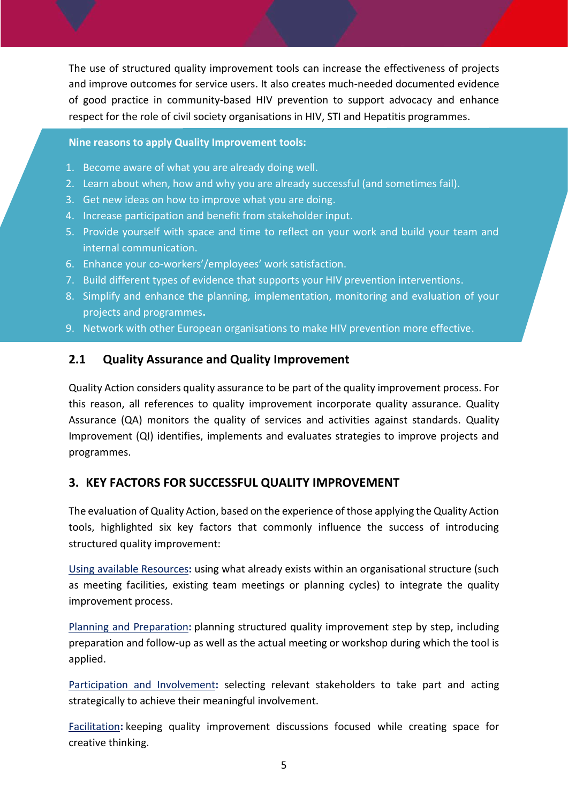The use of structured quality improvement tools can increase the effectiveness of projects and improve outcomes for service users. It also creates much-needed documented evidence of good practice in community-based HIV prevention to support advocacy and enhance respect for the role of civil society organisations in HIV, STI and Hepatitis programmes.

#### **Nine reasons to apply Quality Improvement tools:**

- 1. Become aware of what you are already doing well.
- 2. Learn about when, how and why you are already successful (and sometimes fail).
- 3. Get new ideas on how to improve what you are doing.
- 4. Increase participation and benefit from stakeholder input.
- 5. Provide yourself with space and time to reflect on your work and build your team and internal communication.
- 6. Enhance your co-workers'/employees' work satisfaction.
- 7. Build different types of evidence that supports your HIV prevention interventions.
- 8. Simplify and enhance the planning, implementation, monitoring and evaluation of your projects and programmes**.**
- 9. Network with other European organisations to make HIV prevention more effective.

#### <span id="page-5-0"></span>**2.1 Quality Assurance and Quality Improvement**

Quality Action considers quality assurance to be part of the quality improvement process. For this reason, all references to quality improvement incorporate quality assurance. Quality Assurance (QA) monitors the quality of services and activities against standards. Quality Improvement (QI) identifies, implements and evaluates strategies to improve projects and programmes.

#### <span id="page-5-1"></span>**3. KEY FACTORS FOR SUCCESSFUL QUALITY IMPROVEMENT**

The evaluation of Quality Action, based on the experience of those applying the Quality Action tools, highlighted six key factors that commonly influence the success of introducing structured quality improvement:

Using available [Resources](#page-6-0)**:** using what already exists within an organisational structure (such as meeting facilities, existing team meetings or planning cycles) to integrate the quality improvement process.

Planning and [Preparation](#page-7-0)**:** planning structured quality improvement step by step, including preparation and follow-up as well as the actual meeting or workshop during which the tool is applied.

[Participation](#page-9-0) and Involvement**:** selecting relevant stakeholders to take part and acting strategically to achieve their meaningful involvement.

[Facilitation](#page-12-0)**:** keeping quality improvement discussions focused while creating space for creative thinking.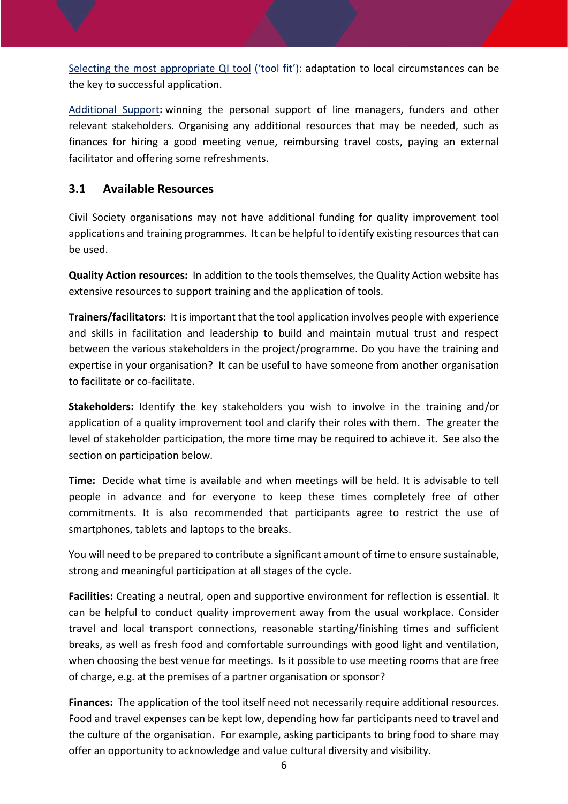Selecting the most [appropriate](#page-14-0) QI tool ('tool fit'): adaptation to local circumstances can be the key to successful application.

[Additional](#page-22-0) Support**:** winning the personal support of line managers, funders and other relevant stakeholders. Organising any additional resources that may be needed, such as finances for hiring a good meeting venue, reimbursing travel costs, paying an external facilitator and offering some refreshments.

## <span id="page-6-0"></span>**3.1 Available Resources**

Civil Society organisations may not have additional funding for quality improvement tool applications and training programmes. It can be helpful to identify existing resources that can be used.

**Quality Action resources:** In addition to the tools themselves, the Quality Action website has extensive resources to support training and the application of tools.

**Trainers/facilitators:** It is important that the tool application involves people with experience and skills in facilitation and leadership to build and maintain mutual trust and respect between the various stakeholders in the project/programme. Do you have the training and expertise in your organisation? It can be useful to have someone from another organisation to facilitate or co-facilitate.

**Stakeholders:** Identify the key stakeholders you wish to involve in the training and/or application of a quality improvement tool and clarify their roles with them. The greater the level of stakeholder participation, the more time may be required to achieve it. See also the section on participation below.

**Time:** Decide what time is available and when meetings will be held. It is advisable to tell people in advance and for everyone to keep these times completely free of other commitments. It is also recommended that participants agree to restrict the use of smartphones, tablets and laptops to the breaks.

You will need to be prepared to contribute a significant amount of time to ensure sustainable, strong and meaningful participation at all stages of the cycle.

**Facilities:** Creating a neutral, open and supportive environment for reflection is essential. It can be helpful to conduct quality improvement away from the usual workplace. Consider travel and local transport connections, reasonable starting/finishing times and sufficient breaks, as well as fresh food and comfortable surroundings with good light and ventilation, when choosing the best venue for meetings. Is it possible to use meeting rooms that are free of charge, e.g. at the premises of a partner organisation or sponsor?

**Finances:** The application of the tool itself need not necessarily require additional resources. Food and travel expenses can be kept low, depending how far participants need to travel and the culture of the organisation. For example, asking participants to bring food to share may offer an opportunity to acknowledge and value cultural diversity and visibility.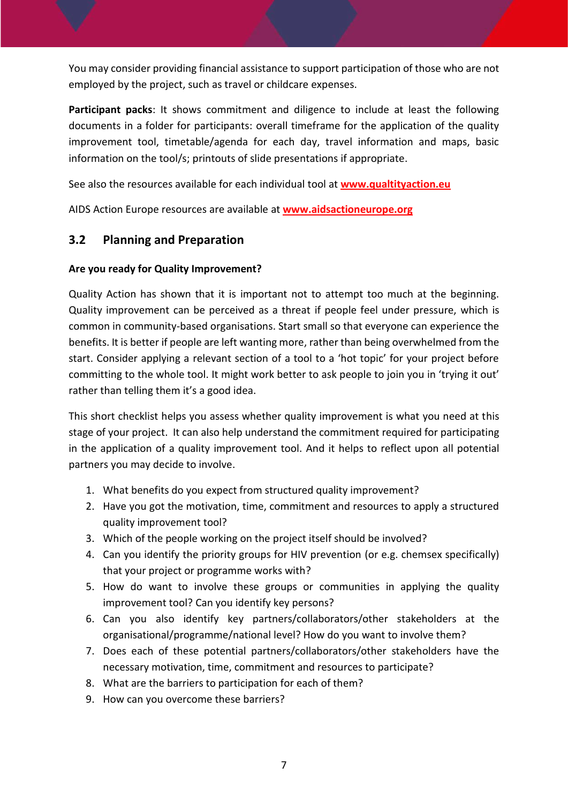You may consider providing financial assistance to support participation of those who are not employed by the project, such as travel or childcare expenses.

**Participant packs**: It shows commitment and diligence to include at least the following documents in a folder for participants: overall timeframe for the application of the quality improvement tool, timetable/agenda for each day, travel information and maps, basic information on the tool/s; printouts of slide presentations if appropriate.

See also the resources available for each individual tool at **[www.qualtityaction.eu](http://www.qualtityaction.eu/)**

AIDS Action Europe resources are available at **[www.aidsactioneurope.org](http://www.aidsactioneurope.org/)**

## <span id="page-7-0"></span>**3.2 Planning and Preparation**

#### **Are you ready for Quality Improvement?**

Quality Action has shown that it is important not to attempt too much at the beginning. Quality improvement can be perceived as a threat if people feel under pressure, which is common in community-based organisations. Start small so that everyone can experience the benefits. It is better if people are left wanting more, rather than being overwhelmed from the start. Consider applying a relevant section of a tool to a 'hot topic' for your project before committing to the whole tool. It might work better to ask people to join you in 'trying it out' rather than telling them it's a good idea.

This short checklist helps you assess whether quality improvement is what you need at this stage of your project. It can also help understand the commitment required for participating in the application of a quality improvement tool. And it helps to reflect upon all potential partners you may decide to involve.

- 1. What benefits do you expect from structured quality improvement?
- 2. Have you got the motivation, time, commitment and resources to apply a structured quality improvement tool?
- 3. Which of the people working on the project itself should be involved?
- 4. Can you identify the priority groups for HIV prevention (or e.g. chemsex specifically) that your project or programme works with?
- 5. How do want to involve these groups or communities in applying the quality improvement tool? Can you identify key persons?
- 6. Can you also identify key partners/collaborators/other stakeholders at the organisational/programme/national level? How do you want to involve them?
- 7. Does each of these potential partners/collaborators/other stakeholders have the necessary motivation, time, commitment and resources to participate?
- 8. What are the barriers to participation for each of them?
- 9. How can you overcome these barriers?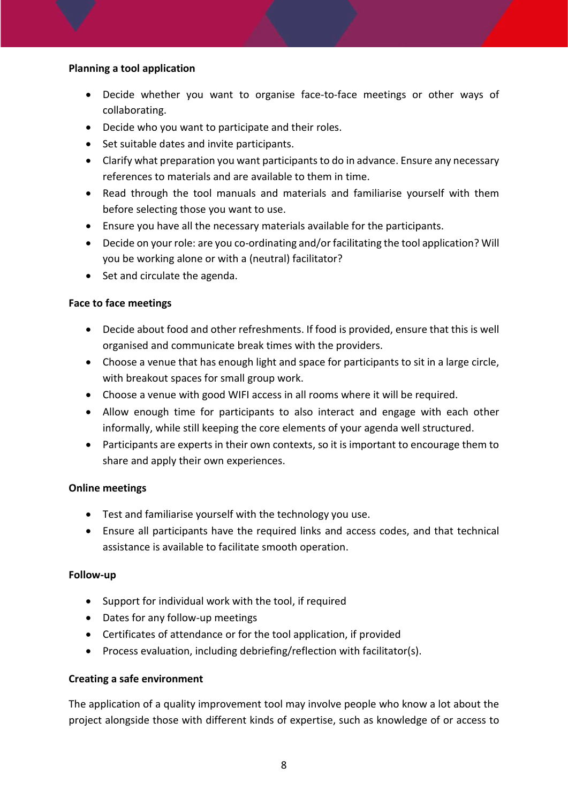#### **Planning a tool application**

- Decide whether you want to organise face-to-face meetings or other ways of collaborating.
- Decide who you want to participate and their roles.
- Set suitable dates and invite participants.
- Clarify what preparation you want participants to do in advance. Ensure any necessary references to materials and are available to them in time.
- Read through the tool manuals and materials and familiarise yourself with them before selecting those you want to use.
- Ensure you have all the necessary materials available for the participants.
- Decide on your role: are you co-ordinating and/or facilitating the tool application? Will you be working alone or with a (neutral) facilitator?
- Set and circulate the agenda.

#### **Face to face meetings**

- Decide about food and other refreshments. If food is provided, ensure that this is well organised and communicate break times with the providers.
- Choose a venue that has enough light and space for participants to sit in a large circle, with breakout spaces for small group work.
- Choose a venue with good WIFI access in all rooms where it will be required.
- Allow enough time for participants to also interact and engage with each other informally, while still keeping the core elements of your agenda well structured.
- Participants are experts in their own contexts, so it is important to encourage them to share and apply their own experiences.

#### **Online meetings**

- Test and familiarise yourself with the technology you use.
- Ensure all participants have the required links and access codes, and that technical assistance is available to facilitate smooth operation.

#### **Follow-up**

- Support for individual work with the tool, if required
- Dates for any follow-up meetings
- Certificates of attendance or for the tool application, if provided
- Process evaluation, including debriefing/reflection with facilitator(s).

#### **Creating a safe environment**

The application of a quality improvement tool may involve people who know a lot about the project alongside those with different kinds of expertise, such as knowledge of or access to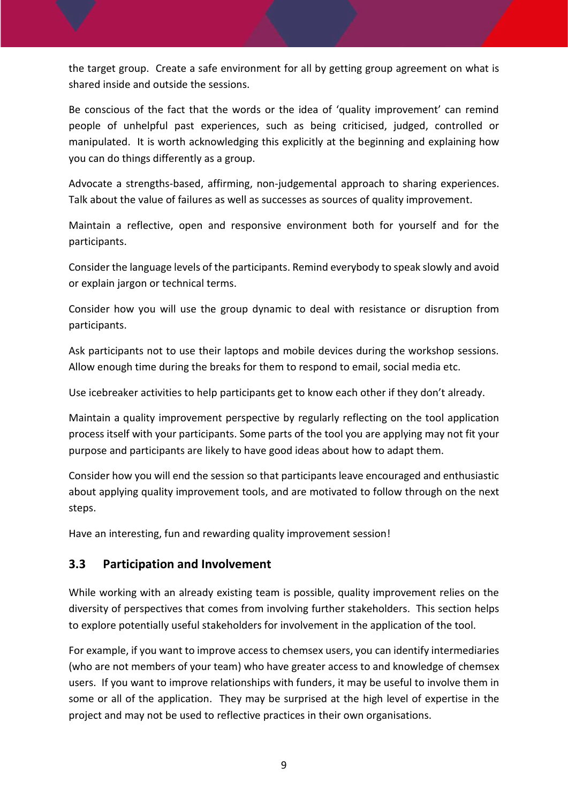the target group. Create a safe environment for all by getting group agreement on what is shared inside and outside the sessions.

Be conscious of the fact that the words or the idea of 'quality improvement' can remind people of unhelpful past experiences, such as being criticised, judged, controlled or manipulated. It is worth acknowledging this explicitly at the beginning and explaining how you can do things differently as a group.

Advocate a strengths-based, affirming, non-judgemental approach to sharing experiences. Talk about the value of failures as well as successes as sources of quality improvement.

Maintain a reflective, open and responsive environment both for yourself and for the participants.

Consider the language levels of the participants. Remind everybody to speak slowly and avoid or explain jargon or technical terms.

Consider how you will use the group dynamic to deal with resistance or disruption from participants.

Ask participants not to use their laptops and mobile devices during the workshop sessions. Allow enough time during the breaks for them to respond to email, social media etc.

Use icebreaker activities to help participants get to know each other if they don't already.

Maintain a quality improvement perspective by regularly reflecting on the tool application process itself with your participants. Some parts of the tool you are applying may not fit your purpose and participants are likely to have good ideas about how to adapt them.

Consider how you will end the session so that participants leave encouraged and enthusiastic about applying quality improvement tools, and are motivated to follow through on the next steps.

Have an interesting, fun and rewarding quality improvement session!

## <span id="page-9-0"></span>**3.3 Participation and Involvement**

While working with an already existing team is possible, quality improvement relies on the diversity of perspectives that comes from involving further stakeholders. This section helps to explore potentially useful stakeholders for involvement in the application of the tool.

For example, if you want to improve access to chemsex users, you can identify intermediaries (who are not members of your team) who have greater access to and knowledge of chemsex users. If you want to improve relationships with funders, it may be useful to involve them in some or all of the application. They may be surprised at the high level of expertise in the project and may not be used to reflective practices in their own organisations.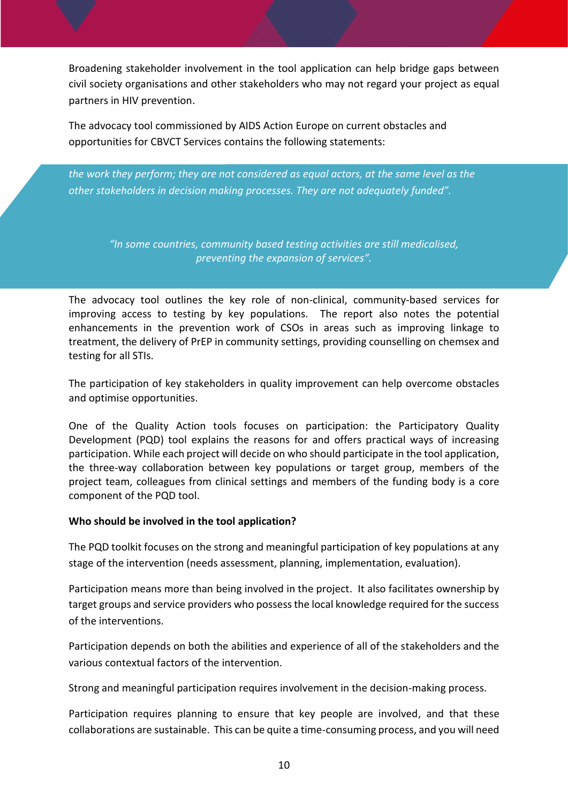Broadening stakeholder involvement in the tool application can help bridge gaps between civil society organisations and other stakeholders who may not regard your project as equal partners in HIV prevention.

The advocacy tool commissioned by AIDS Action Europe on current obstacles and opportunities for CBVCT Services contains the following statements:

*the work they perform; they are not considered as equal actors, at the same level as the other stakeholders in decision making processes. They are not adequately funded".*

*"Community based testing services are not given the deserved recognition and reward for* 

*"In some countries, community based testing activities are still medicalised, preventing the expansion of services".*

The advocacy tool outlines the key role of non-clinical, community-based services for improving access to testing by key populations. The report also notes the potential enhancements in the prevention work of CSOs in areas such as improving linkage to treatment, the delivery of PrEP in community settings, providing counselling on chemsex and testing for all STIs.

The participation of key stakeholders in quality improvement can help overcome obstacles and optimise opportunities.

One of the Quality Action tools focuses on participation: the Participatory Quality Development (PQD) tool explains the reasons for and offers practical ways of increasing participation. While each project will decide on who should participate in the tool application, the three-way collaboration between key populations or target group, members of the project team, colleagues from clinical settings and members of the funding body is a core component of the PQD tool.

#### **Who should be involved in the tool application?**

The PQD toolkit focuses on the strong and meaningful participation of key populations at any stage of the intervention (needs assessment, planning, implementation, evaluation).

Participation means more than being involved in the project. It also facilitates ownership by target groups and service providers who possess the local knowledge required for the success of the interventions.

Participation depends on both the abilities and experience of all of the stakeholders and the various contextual factors of the intervention.

Strong and meaningful participation requires involvement in the decision-making process.

Participation requires planning to ensure that key people are involved, and that these collaborations are sustainable. This can be quite a time-consuming process, and you will need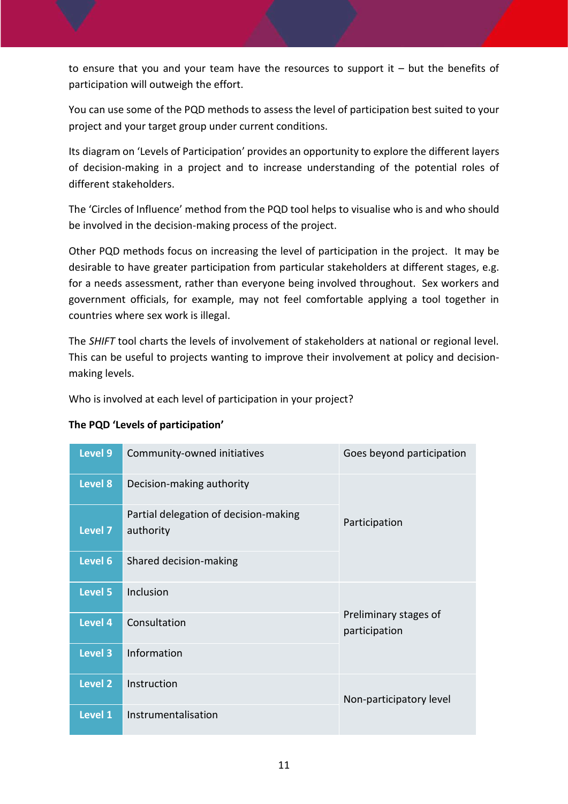to ensure that you and your team have the resources to support it – but the benefits of participation will outweigh the effort.

You can use some of the PQD methods to assess the level of participation best suited to your project and your target group under current conditions.

Its diagram on 'Levels of Participation' provides an opportunity to explore the different layers of decision-making in a project and to increase understanding of the potential roles of different stakeholders.

The 'Circles of Influence' method from the PQD tool helps to visualise who is and who should be involved in the decision-making process of the project.

Other PQD methods focus on increasing the level of participation in the project. It may be desirable to have greater participation from particular stakeholders at different stages, e.g. for a needs assessment, rather than everyone being involved throughout. Sex workers and government officials, for example, may not feel comfortable applying a tool together in countries where sex work is illegal.

The *SHIFT* tool charts the levels of involvement of stakeholders at national or regional level. This can be useful to projects wanting to improve their involvement at policy and decisionmaking levels.

Who is involved at each level of participation in your project?

| Level 9        | Community-owned initiatives                        | Goes beyond participation              |  |
|----------------|----------------------------------------------------|----------------------------------------|--|
| Level 8        | Decision-making authority                          |                                        |  |
| Level 7        | Partial delegation of decision-making<br>authority | Participation                          |  |
| Level 6        | Shared decision-making                             |                                        |  |
| Level 5        | Inclusion                                          |                                        |  |
| <b>Level 4</b> | Consultation                                       | Preliminary stages of<br>participation |  |
| Level 3        | Information                                        |                                        |  |
| <b>Level 2</b> | Instruction                                        | Non-participatory level                |  |
| Level 1        | Instrumentalisation                                |                                        |  |

#### **The PQD 'Levels of participation'**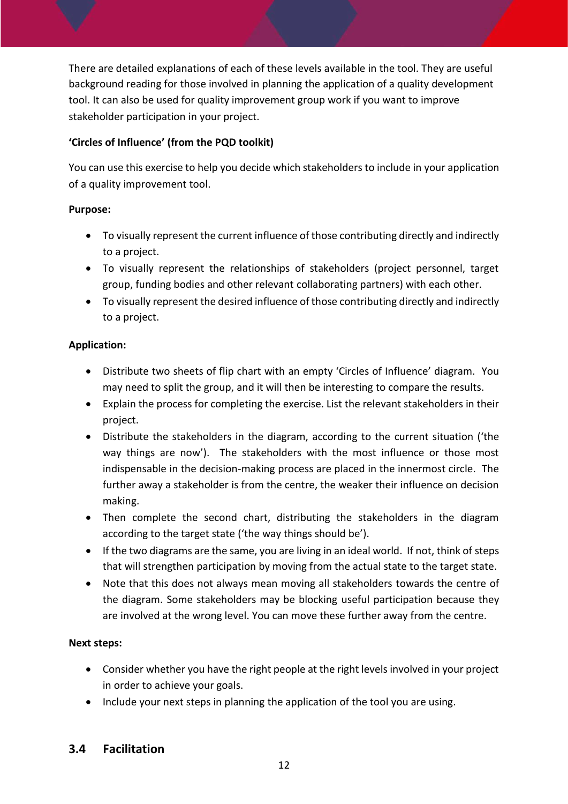There are detailed explanations of each of these levels available in the tool. They are useful background reading for those involved in planning the application of a quality development tool. It can also be used for quality improvement group work if you want to improve stakeholder participation in your project.

#### **'Circles of Influence' (from the PQD toolkit)**

You can use this exercise to help you decide which stakeholders to include in your application of a quality improvement tool.

#### **Purpose:**

- To visually represent the current influence of those contributing directly and indirectly to a project.
- To visually represent the relationships of stakeholders (project personnel, target group, funding bodies and other relevant collaborating partners) with each other.
- To visually represent the desired influence of those contributing directly and indirectly to a project.

### **Application:**

- Distribute two sheets of flip chart with an empty 'Circles of Influence' diagram. You may need to split the group, and it will then be interesting to compare the results.
- Explain the process for completing the exercise. List the relevant stakeholders in their project.
- Distribute the stakeholders in the diagram, according to the current situation ('the way things are now'). The stakeholders with the most influence or those most indispensable in the decision-making process are placed in the innermost circle. The further away a stakeholder is from the centre, the weaker their influence on decision making.
- Then complete the second chart, distributing the stakeholders in the diagram according to the target state ('the way things should be').
- If the two diagrams are the same, you are living in an ideal world. If not, think of steps that will strengthen participation by moving from the actual state to the target state.
- Note that this does not always mean moving all stakeholders towards the centre of the diagram. Some stakeholders may be blocking useful participation because they are involved at the wrong level. You can move these further away from the centre.

## **Next steps:**

- Consider whether you have the right people at the right levels involved in your project in order to achieve your goals.
- Include your next steps in planning the application of the tool you are using.

## <span id="page-12-0"></span>**3.4 Facilitation**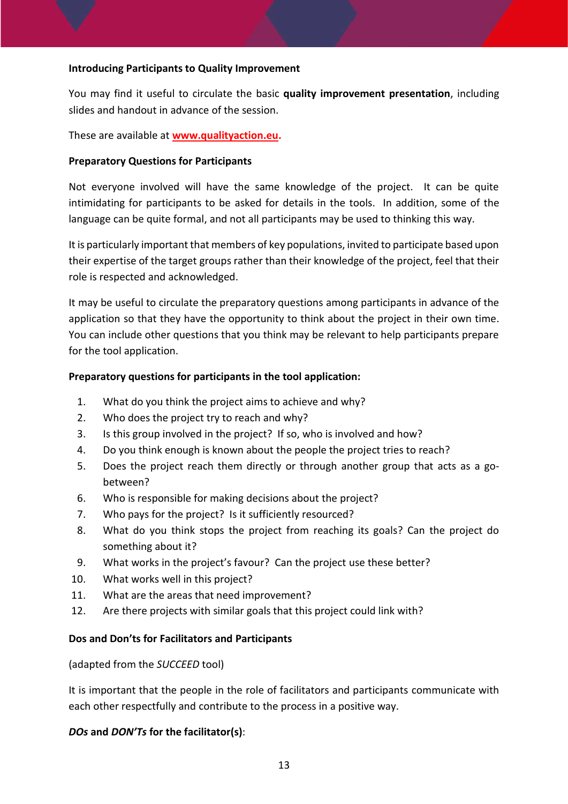#### **Introducing Participants to Quality Improvement**

You may find it useful to circulate the basic **quality improvement presentation**, including slides and handout in advance of the session.

These are available at **[www.qualityaction.eu.](http://www.qualityaction.eu/)**

#### **Preparatory Questions for Participants**

Not everyone involved will have the same knowledge of the project. It can be quite intimidating for participants to be asked for details in the tools. In addition, some of the language can be quite formal, and not all participants may be used to thinking this way.

It is particularly important that members of key populations, invited to participate based upon their expertise of the target groups rather than their knowledge of the project, feel that their role is respected and acknowledged.

It may be useful to circulate the preparatory questions among participants in advance of the application so that they have the opportunity to think about the project in their own time. You can include other questions that you think may be relevant to help participants prepare for the tool application.

#### **Preparatory questions for participants in the tool application:**

- 1. What do you think the project aims to achieve and why?
- 2. Who does the project try to reach and why?
- 3. Is this group involved in the project? If so, who is involved and how?
- 4. Do you think enough is known about the people the project tries to reach?
- 5. Does the project reach them directly or through another group that acts as a gobetween?
- 6. Who is responsible for making decisions about the project?
- 7. Who pays for the project? Is it sufficiently resourced?
- 8. What do you think stops the project from reaching its goals? Can the project do something about it?
- 9. What works in the project's favour? Can the project use these better?
- 10. What works well in this project?
- 11. What are the areas that need improvement?
- 12. Are there projects with similar goals that this project could link with?

#### **Dos and Don'ts for Facilitators and Participants**

#### (adapted from the *SUCCEED* tool)

It is important that the people in the role of facilitators and participants communicate with each other respectfully and contribute to the process in a positive way.

#### *DOs* **and** *DON'Ts* **for the facilitator(s)**: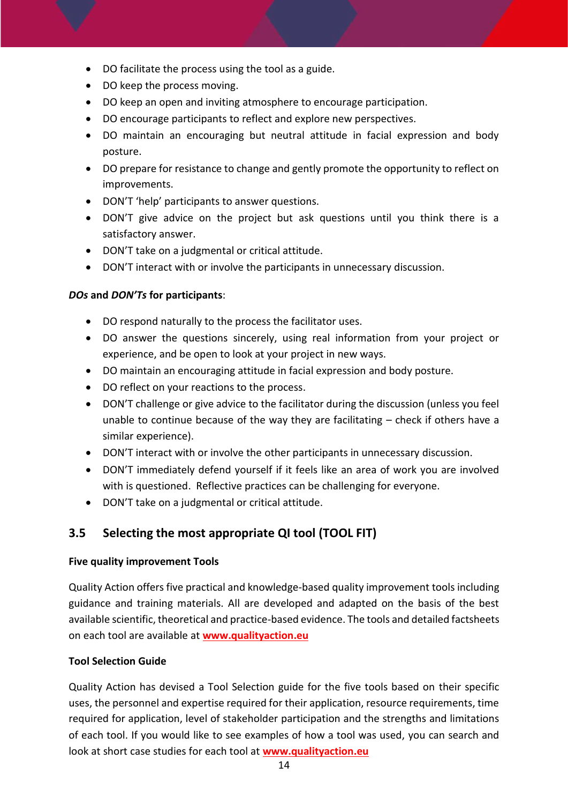- DO facilitate the process using the tool as a guide.
- DO keep the process moving.
- DO keep an open and inviting atmosphere to encourage participation.
- DO encourage participants to reflect and explore new perspectives.
- DO maintain an encouraging but neutral attitude in facial expression and body posture.
- DO prepare for resistance to change and gently promote the opportunity to reflect on improvements.
- DON'T 'help' participants to answer questions.
- DON'T give advice on the project but ask questions until you think there is a satisfactory answer.
- DON'T take on a judgmental or critical attitude.
- DON'T interact with or involve the participants in unnecessary discussion.

#### *DOs* **and** *DON'Ts* **for participants**:

- DO respond naturally to the process the facilitator uses.
- DO answer the questions sincerely, using real information from your project or experience, and be open to look at your project in new ways.
- DO maintain an encouraging attitude in facial expression and body posture.
- DO reflect on your reactions to the process.
- DON'T challenge or give advice to the facilitator during the discussion (unless you feel unable to continue because of the way they are facilitating  $-$  check if others have a similar experience).
- DON'T interact with or involve the other participants in unnecessary discussion.
- DON'T immediately defend yourself if it feels like an area of work you are involved with is questioned. Reflective practices can be challenging for everyone.
- DON'T take on a judgmental or critical attitude.

## <span id="page-14-0"></span>**3.5 Selecting the most appropriate QI tool (TOOL FIT)**

#### **Five quality improvement Tools**

Quality Action offers five practical and knowledge-based quality improvement tools including guidance and training materials. All are developed and adapted on the basis of the best available scientific, theoretical and practice-based evidence. The tools and detailed factsheets on each tool are available at **[www.qualityaction.eu](http://www.qualityaction.eu/)**

#### **Tool Selection Guide**

Quality Action has devised a Tool Selection guide for the five tools based on their specific uses, the personnel and expertise required for their application, resource requirements, time required for application, level of stakeholder participation and the strengths and limitations of each tool. If you would like to see examples of how a tool was used, you can search and look at short case studies for each tool at **[www.qualityaction.eu](http://www.qualityaction.eu/)**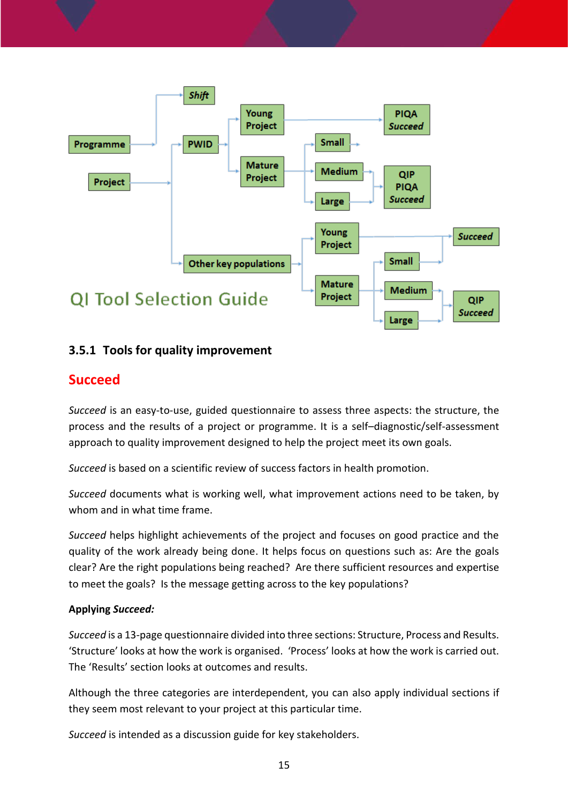

## <span id="page-15-0"></span>**3.5.1 Tools for quality improvement**

## <span id="page-15-1"></span>**Succeed**

*Succeed* is an easy-to-use, guided questionnaire to assess three aspects: the structure, the process and the results of a project or programme. It is a self–diagnostic/self-assessment approach to quality improvement designed to help the project meet its own goals.

*Succeed* is based on a scientific review of success factors in health promotion.

*Succeed* documents what is working well, what improvement actions need to be taken, by whom and in what time frame.

*Succeed* helps highlight achievements of the project and focuses on good practice and the quality of the work already being done. It helps focus on questions such as: Are the goals clear? Are the right populations being reached? Are there sufficient resources and expertise to meet the goals? Is the message getting across to the key populations?

#### **Applying** *Succeed:*

*Succeed* is a 13-page questionnaire divided into three sections: Structure, Process and Results. 'Structure' looks at how the work is organised. 'Process' looks at how the work is carried out. The 'Results' section looks at outcomes and results.

Although the three categories are interdependent, you can also apply individual sections if they seem most relevant to your project at this particular time.

*Succeed* is intended as a discussion guide for key stakeholders.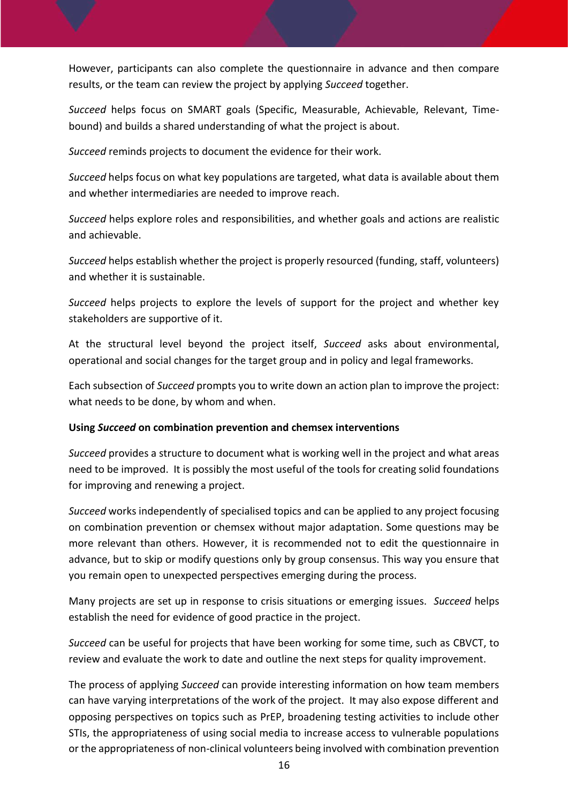However, participants can also complete the questionnaire in advance and then compare results, or the team can review the project by applying *Succeed* together.

*Succeed* helps focus on SMART goals (Specific, Measurable, Achievable, Relevant, Timebound) and builds a shared understanding of what the project is about.

*Succeed* reminds projects to document the evidence for their work.

*Succeed* helps focus on what key populations are targeted, what data is available about them and whether intermediaries are needed to improve reach.

*Succeed* helps explore roles and responsibilities, and whether goals and actions are realistic and achievable.

*Succeed* helps establish whether the project is properly resourced (funding, staff, volunteers) and whether it is sustainable.

*Succeed* helps projects to explore the levels of support for the project and whether key stakeholders are supportive of it.

At the structural level beyond the project itself, *Succeed* asks about environmental, operational and social changes for the target group and in policy and legal frameworks.

Each subsection of *Succeed* prompts you to write down an action plan to improve the project: what needs to be done, by whom and when.

#### **Using** *Succeed* **on combination prevention and chemsex interventions**

*Succeed* provides a structure to document what is working well in the project and what areas need to be improved. It is possibly the most useful of the tools for creating solid foundations for improving and renewing a project.

*Succeed* works independently of specialised topics and can be applied to any project focusing on combination prevention or chemsex without major adaptation. Some questions may be more relevant than others. However, it is recommended not to edit the questionnaire in advance, but to skip or modify questions only by group consensus. This way you ensure that you remain open to unexpected perspectives emerging during the process.

Many projects are set up in response to crisis situations or emerging issues. *Succeed* helps establish the need for evidence of good practice in the project.

*Succeed* can be useful for projects that have been working for some time, such as CBVCT, to review and evaluate the work to date and outline the next steps for quality improvement.

The process of applying *Succeed* can provide interesting information on how team members can have varying interpretations of the work of the project. It may also expose different and opposing perspectives on topics such as PrEP, broadening testing activities to include other STIs, the appropriateness of using social media to increase access to vulnerable populations or the appropriateness of non-clinical volunteers being involved with combination prevention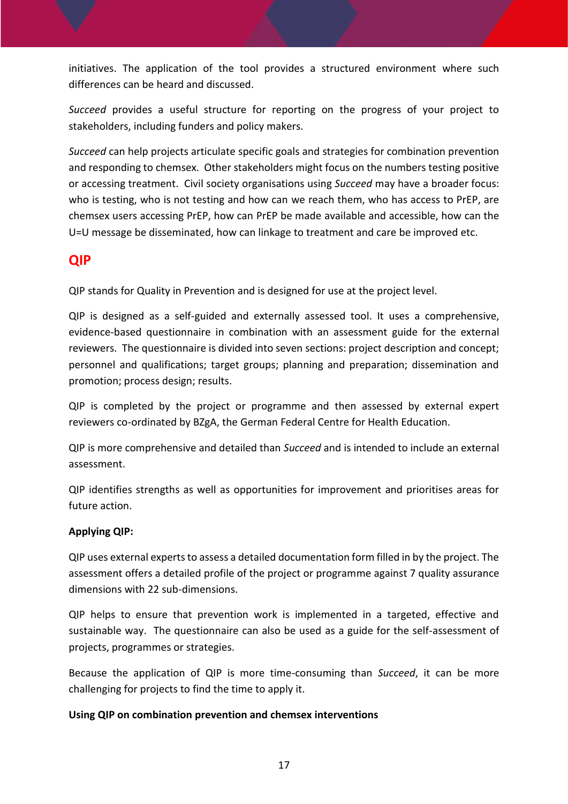initiatives. The application of the tool provides a structured environment where such differences can be heard and discussed.

*Succeed* provides a useful structure for reporting on the progress of your project to stakeholders, including funders and policy makers.

*Succeed* can help projects articulate specific goals and strategies for combination prevention and responding to chemsex. Other stakeholders might focus on the numbers testing positive or accessing treatment. Civil society organisations using *Succeed* may have a broader focus: who is testing, who is not testing and how can we reach them, who has access to PrEP, are chemsex users accessing PrEP, how can PrEP be made available and accessible, how can the U=U message be disseminated, how can linkage to treatment and care be improved etc.

## <span id="page-17-0"></span>**QIP**

QIP stands for Quality in Prevention and is designed for use at the project level.

QIP is designed as a self-guided and externally assessed tool. It uses a comprehensive, evidence-based questionnaire in combination with an assessment guide for the external reviewers. The questionnaire is divided into seven sections: project description and concept; personnel and qualifications; target groups; planning and preparation; dissemination and promotion; process design; results.

QIP is completed by the project or programme and then assessed by external expert reviewers co-ordinated by BZgA, the German Federal Centre for Health Education.

QIP is more comprehensive and detailed than *Succeed* and is intended to include an external assessment.

QIP identifies strengths as well as opportunities for improvement and prioritises areas for future action.

#### **Applying QIP:**

QIP uses external experts to assess a detailed documentation form filled in by the project. The assessment offers a detailed profile of the project or programme against 7 quality assurance dimensions with 22 sub-dimensions.

QIP helps to ensure that prevention work is implemented in a targeted, effective and sustainable way. The questionnaire can also be used as a guide for the self-assessment of projects, programmes or strategies.

Because the application of QIP is more time-consuming than *Succeed*, it can be more challenging for projects to find the time to apply it.

#### **Using QIP on combination prevention and chemsex interventions**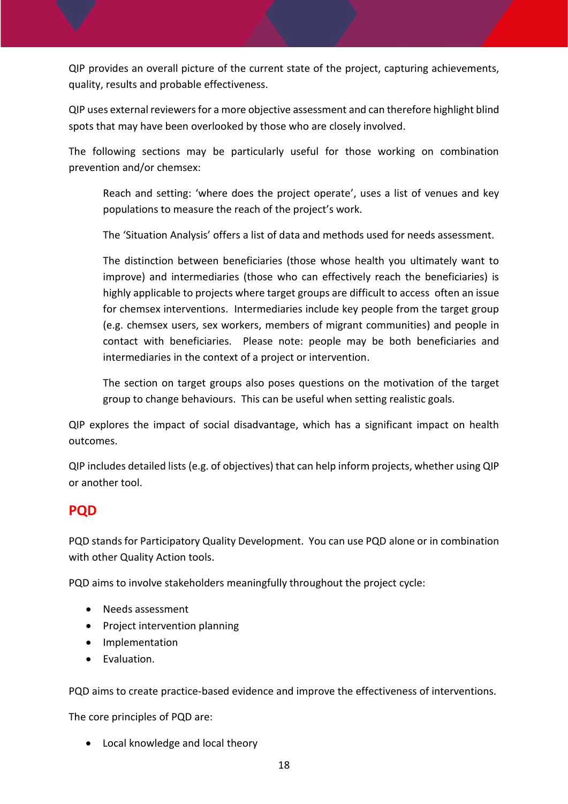QIP provides an overall picture of the current state of the project, capturing achievements, quality, results and probable effectiveness.

QIP uses external reviewers for a more objective assessment and can therefore highlight blind spots that may have been overlooked by those who are closely involved.

The following sections may be particularly useful for those working on combination prevention and/or chemsex:

Reach and setting: 'where does the project operate', uses a list of venues and key populations to measure the reach of the project's work.

The 'Situation Analysis' offers a list of data and methods used for needs assessment.

The distinction between beneficiaries (those whose health you ultimately want to improve) and intermediaries (those who can effectively reach the beneficiaries) is highly applicable to projects where target groups are difficult to access often an issue for chemsex interventions. Intermediaries include key people from the target group (e.g. chemsex users, sex workers, members of migrant communities) and people in contact with beneficiaries. Please note: people may be both beneficiaries and intermediaries in the context of a project or intervention.

The section on target groups also poses questions on the motivation of the target group to change behaviours. This can be useful when setting realistic goals.

QIP explores the impact of social disadvantage, which has a significant impact on health outcomes.

QIP includes detailed lists (e.g. of objectives) that can help inform projects, whether using QIP or another tool.

## <span id="page-18-0"></span>**PQD**

PQD stands for Participatory Quality Development. You can use PQD alone or in combination with other Quality Action tools.

PQD aims to involve stakeholders meaningfully throughout the project cycle:

- Needs assessment
- Project intervention planning
- Implementation
- **•** Evaluation.

PQD aims to create practice-based evidence and improve the effectiveness of interventions.

The core principles of PQD are:

Local knowledge and local theory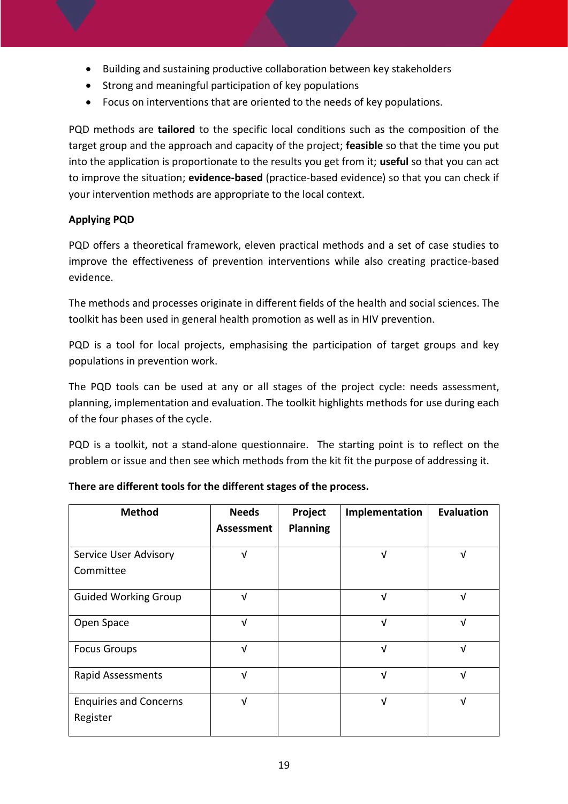- Building and sustaining productive collaboration between key stakeholders
- Strong and meaningful participation of key populations
- Focus on interventions that are oriented to the needs of key populations.

PQD methods are **tailored** to the specific local conditions such as the composition of the target group and the approach and capacity of the project; **feasible** so that the time you put into the application is proportionate to the results you get from it; **useful** so that you can act to improve the situation; **evidence-based** (practice-based evidence) so that you can check if your intervention methods are appropriate to the local context.

#### **Applying PQD**

PQD offers a theoretical framework, eleven practical methods and a set of case studies to improve the effectiveness of prevention interventions while also creating practice-based evidence.

The methods and processes originate in different fields of the health and social sciences. The toolkit has been used in general health promotion as well as in HIV prevention.

PQD is a tool for local projects, emphasising the participation of target groups and key populations in prevention work.

The PQD tools can be used at any or all stages of the project cycle: needs assessment, planning, implementation and evaluation. The toolkit highlights methods for use during each of the four phases of the cycle.

PQD is a toolkit, not a stand-alone questionnaire. The starting point is to reflect on the problem or issue and then see which methods from the kit fit the purpose of addressing it.

| <b>Method</b>                             | <b>Needs</b> | Project         | Implementation | <b>Evaluation</b> |
|-------------------------------------------|--------------|-----------------|----------------|-------------------|
|                                           | Assessment   | <b>Planning</b> |                |                   |
| Service User Advisory<br>Committee        | V            |                 | V              | V                 |
| <b>Guided Working Group</b>               | $\sqrt{ }$   |                 | V              | V                 |
| Open Space                                | $\sqrt{ }$   |                 | V              | $\sqrt{ }$        |
| <b>Focus Groups</b>                       | $\sqrt{ }$   |                 | $\sqrt{ }$     | $\sqrt{ }$        |
| <b>Rapid Assessments</b>                  | V            |                 | V              | $\sqrt{ }$        |
| <b>Enquiries and Concerns</b><br>Register | V            |                 | V              | V                 |

#### **There are different tools for the different stages of the process.**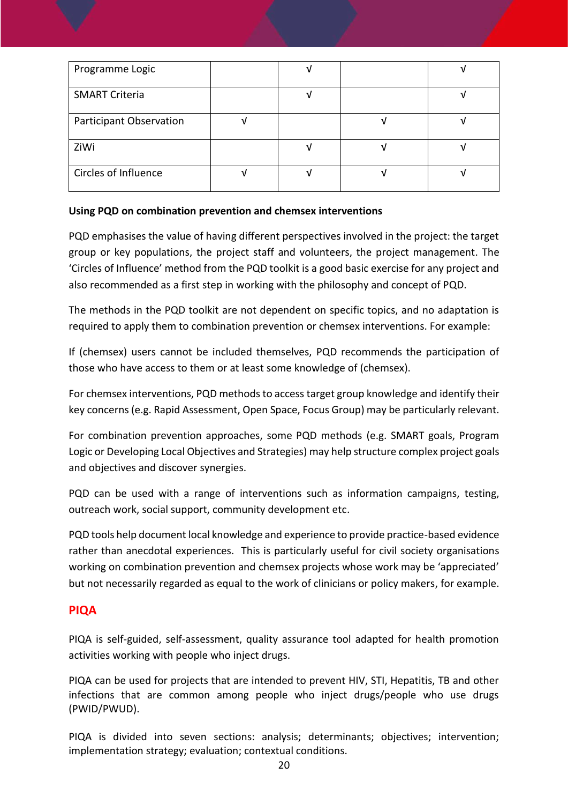| Programme Logic         |  |  |
|-------------------------|--|--|
| <b>SMART Criteria</b>   |  |  |
| Participant Observation |  |  |
| ZiWi                    |  |  |
| Circles of Influence    |  |  |

#### **Using PQD on combination prevention and chemsex interventions**

PQD emphasises the value of having different perspectives involved in the project: the target group or key populations, the project staff and volunteers, the project management. The 'Circles of Influence' method from the PQD toolkit is a good basic exercise for any project and also recommended as a first step in working with the philosophy and concept of PQD.

The methods in the PQD toolkit are not dependent on specific topics, and no adaptation is required to apply them to combination prevention or chemsex interventions. For example:

If (chemsex) users cannot be included themselves, PQD recommends the participation of those who have access to them or at least some knowledge of (chemsex).

For chemsex interventions, PQD methods to access target group knowledge and identify their key concerns (e.g. Rapid Assessment, Open Space, Focus Group) may be particularly relevant.

For combination prevention approaches, some PQD methods (e.g. SMART goals, Program Logic or Developing Local Objectives and Strategies) may help structure complex project goals and objectives and discover synergies.

PQD can be used with a range of interventions such as information campaigns, testing, outreach work, social support, community development etc.

PQD tools help document local knowledge and experience to provide practice-based evidence rather than anecdotal experiences. This is particularly useful for civil society organisations working on combination prevention and chemsex projects whose work may be 'appreciated' but not necessarily regarded as equal to the work of clinicians or policy makers, for example.

#### <span id="page-20-0"></span>**PIQA**

PIQA is self-guided, self-assessment, quality assurance tool adapted for health promotion activities working with people who inject drugs.

PIQA can be used for projects that are intended to prevent HIV, STI, Hepatitis, TB and other infections that are common among people who inject drugs/people who use drugs (PWID/PWUD).

PIQA is divided into seven sections: analysis; determinants; objectives; intervention; implementation strategy; evaluation; contextual conditions.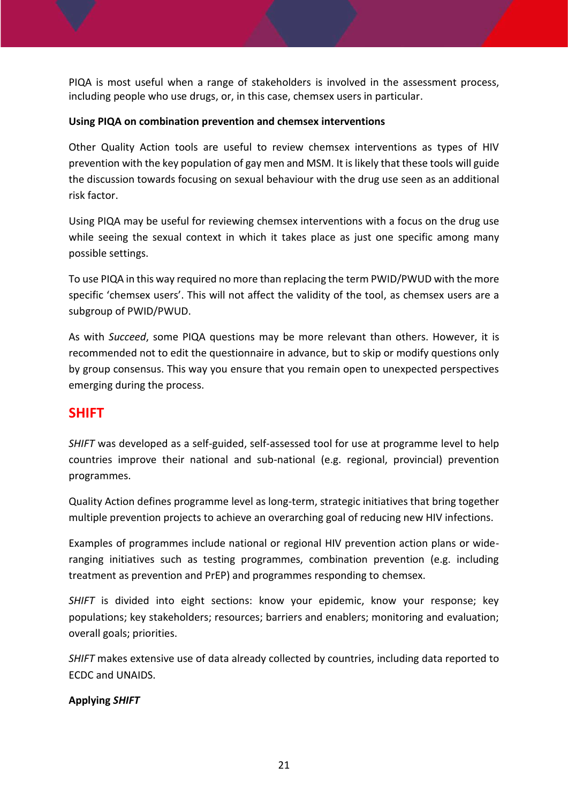PIQA is most useful when a range of stakeholders is involved in the assessment process, including people who use drugs, or, in this case, chemsex users in particular.

#### **Using PIQA on combination prevention and chemsex interventions**

Other Quality Action tools are useful to review chemsex interventions as types of HIV prevention with the key population of gay men and MSM. It is likely that these tools will guide the discussion towards focusing on sexual behaviour with the drug use seen as an additional risk factor.

Using PIQA may be useful for reviewing chemsex interventions with a focus on the drug use while seeing the sexual context in which it takes place as just one specific among many possible settings.

To use PIQA in this way required no more than replacing the term PWID/PWUD with the more specific 'chemsex users'. This will not affect the validity of the tool, as chemsex users are a subgroup of PWID/PWUD.

As with *Succeed*, some PIQA questions may be more relevant than others. However, it is recommended not to edit the questionnaire in advance, but to skip or modify questions only by group consensus. This way you ensure that you remain open to unexpected perspectives emerging during the process.

## <span id="page-21-0"></span>**SHIFT**

*SHIFT* was developed as a self-guided, self-assessed tool for use at programme level to help countries improve their national and sub-national (e.g. regional, provincial) prevention programmes.

Quality Action defines programme level as long-term, strategic initiatives that bring together multiple prevention projects to achieve an overarching goal of reducing new HIV infections.

Examples of programmes include national or regional HIV prevention action plans or wideranging initiatives such as testing programmes, combination prevention (e.g. including treatment as prevention and PrEP) and programmes responding to chemsex.

*SHIFT* is divided into eight sections: know your epidemic, know your response; key populations; key stakeholders; resources; barriers and enablers; monitoring and evaluation; overall goals; priorities.

*SHIFT* makes extensive use of data already collected by countries, including data reported to ECDC and UNAIDS.

#### **Applying** *SHIFT*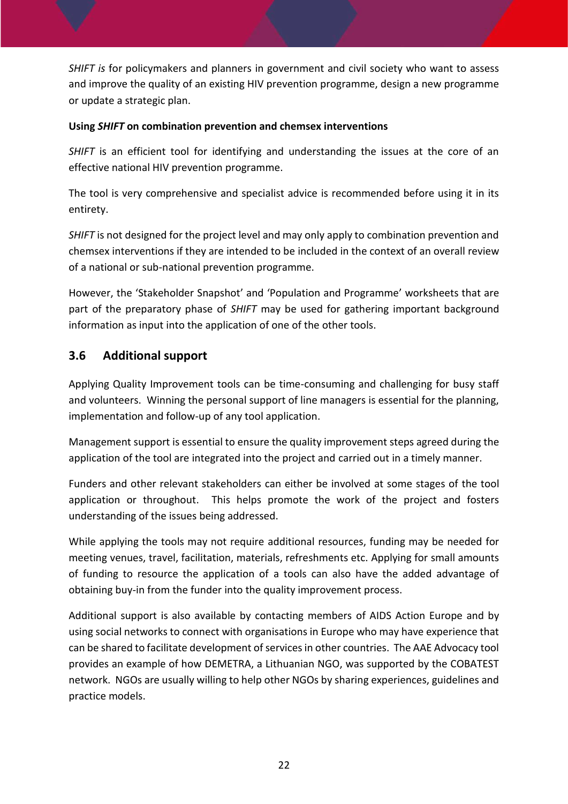*SHIFT is* for policymakers and planners in government and civil society who want to assess and improve the quality of an existing HIV prevention programme, design a new programme or update a strategic plan.

#### **Using** *SHIFT* **on combination prevention and chemsex interventions**

*SHIFT* is an efficient tool for identifying and understanding the issues at the core of an effective national HIV prevention programme.

The tool is very comprehensive and specialist advice is recommended before using it in its entirety.

*SHIFT* is not designed for the project level and may only apply to combination prevention and chemsex interventions if they are intended to be included in the context of an overall review of a national or sub-national prevention programme.

However, the 'Stakeholder Snapshot' and 'Population and Programme' worksheets that are part of the preparatory phase of *SHIFT* may be used for gathering important background information as input into the application of one of the other tools.

## <span id="page-22-0"></span>**3.6 Additional support**

Applying Quality Improvement tools can be time-consuming and challenging for busy staff and volunteers. Winning the personal support of line managers is essential for the planning, implementation and follow-up of any tool application.

Management support is essential to ensure the quality improvement steps agreed during the application of the tool are integrated into the project and carried out in a timely manner.

Funders and other relevant stakeholders can either be involved at some stages of the tool application or throughout. This helps promote the work of the project and fosters understanding of the issues being addressed.

While applying the tools may not require additional resources, funding may be needed for meeting venues, travel, facilitation, materials, refreshments etc. Applying for small amounts of funding to resource the application of a tools can also have the added advantage of obtaining buy-in from the funder into the quality improvement process.

Additional support is also available by contacting members of AIDS Action Europe and by using social networks to connect with organisations in Europe who may have experience that can be shared to facilitate development of services in other countries. The AAE Advocacy tool provides an example of how DEMETRA, a Lithuanian NGO, was supported by the COBATEST network. NGOs are usually willing to help other NGOs by sharing experiences, guidelines and practice models.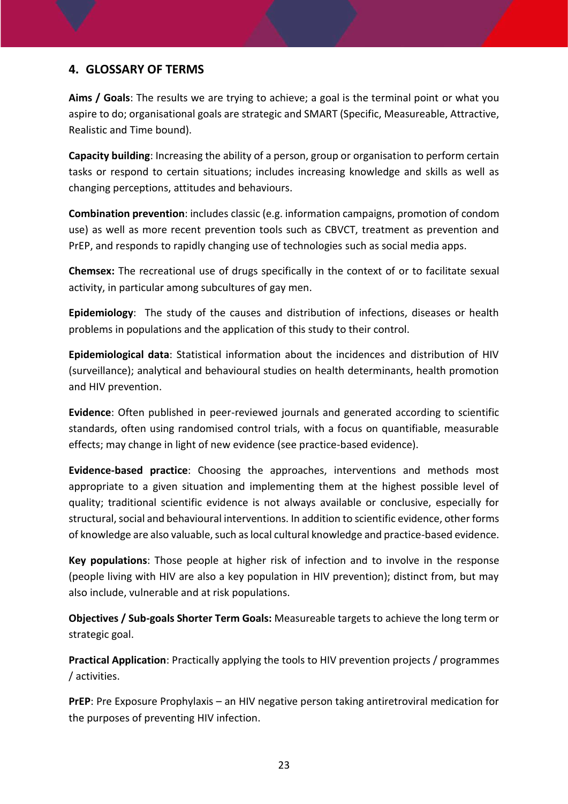### <span id="page-23-0"></span>**4. GLOSSARY OF TERMS**

**Aims / Goals**: The results we are trying to achieve; a goal is the terminal point or what you aspire to do; organisational goals are strategic and SMART (Specific, Measureable, Attractive, Realistic and Time bound).

**Capacity building**: Increasing the ability of a person, group or organisation to perform certain tasks or respond to certain situations; includes increasing knowledge and skills as well as changing perceptions, attitudes and behaviours.

**Combination prevention**: includes classic (e.g. information campaigns, promotion of condom use) as well as more recent prevention tools such as CBVCT, treatment as prevention and PrEP, and responds to rapidly changing use of technologies such as social media apps.

**Chemsex:** The recreational use of drugs specifically in the context of or to facilitate sexual activity, in particular among subcultures of gay men.

**Epidemiology**: The study of the causes and distribution of infections, diseases or health problems in populations and the application of this study to their control.

**Epidemiological data**: Statistical information about the incidences and distribution of HIV (surveillance); analytical and behavioural studies on health determinants, health promotion and HIV prevention.

**Evidence**: Often published in peer-reviewed journals and generated according to scientific standards, often using randomised control trials, with a focus on quantifiable, measurable effects; may change in light of new evidence (see practice-based evidence).

**Evidence-based practice**: Choosing the approaches, interventions and methods most appropriate to a given situation and implementing them at the highest possible level of quality; traditional scientific evidence is not always available or conclusive, especially for structural, social and behavioural interventions. In addition to scientific evidence, other forms of knowledge are also valuable, such as local cultural knowledge and practice-based evidence.

**Key populations**: Those people at higher risk of infection and to involve in the response (people living with HIV are also a key population in HIV prevention); distinct from, but may also include, vulnerable and at risk populations.

**Objectives / Sub-goals Shorter Term Goals:** Measureable targets to achieve the long term or strategic goal.

**Practical Application**: Practically applying the tools to HIV prevention projects / programmes / activities.

**PrEP**: Pre Exposure Prophylaxis – an HIV negative person taking antiretroviral medication for the purposes of preventing HIV infection.